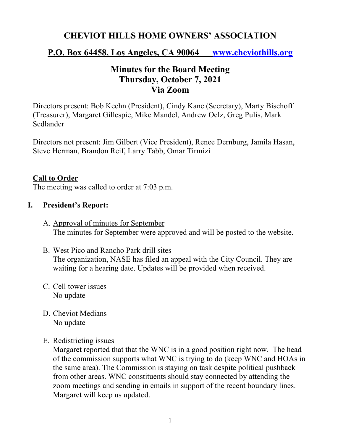# **CHEVIOT HILLS HOME OWNERS' ASSOCIATION**

## **P.O. Box 64458, Los Angeles, CA 90064 www.cheviothills.org**

# **Minutes for the Board Meeting Thursday, October 7, 2021 Via Zoom**

Directors present: Bob Keehn (President), Cindy Kane (Secretary), Marty Bischoff (Treasurer), Margaret Gillespie, Mike Mandel, Andrew Oelz, Greg Pulis, Mark Sedlander

Directors not present: Jim Gilbert (Vice President), Renee Dernburg, Jamila Hasan, Steve Herman, Brandon Reif, Larry Tabb, Omar Tirmizi

#### **Call to Order**

The meeting was called to order at 7:03 p.m.

#### **I. President's Report:**

- A. Approval of minutes for September The minutes for September were approved and will be posted to the website.
- B. West Pico and Rancho Park drill sites The organization, NASE has filed an appeal with the City Council. They are waiting for a hearing date. Updates will be provided when received.
- C. Cell tower issues No update
- D. Cheviot Medians No update
- E. Redistricting issues

Margaret reported that that the WNC is in a good position right now. The head of the commission supports what WNC is trying to do (keep WNC and HOAs in the same area). The Commission is staying on task despite political pushback from other areas. WNC constituents should stay connected by attending the zoom meetings and sending in emails in support of the recent boundary lines. Margaret will keep us updated.